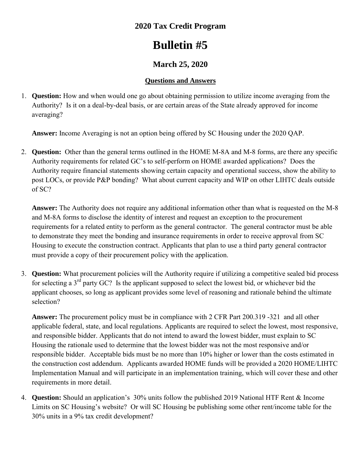## **2020 Tax Credit Program**

# **Bulletin #5**

# **March 25, 2020**

### **Questions and Answers**

1. **Question:** How and when would one go about obtaining permission to utilize income averaging from the Authority? Is it on a deal-by-deal basis, or are certain areas of the State already approved for income averaging?

**Answer:** Income Averaging is not an option being offered by SC Housing under the 2020 QAP.

2. **Question:** Other than the general terms outlined in the HOME M-8A and M-8 forms, are there any specific Authority requirements for related GC's to self-perform on HOME awarded applications? Does the Authority require financial statements showing certain capacity and operational success, show the ability to post LOCs, or provide P&P bonding? What about current capacity and WIP on other LIHTC deals outside of SC?

**Answer:** The Authority does not require any additional information other than what is requested on the M-8 and M-8A forms to disclose the identity of interest and request an exception to the procurement requirements for a related entity to perform as the general contractor. The general contractor must be able to demonstrate they meet the bonding and insurance requirements in order to receive approval from SC Housing to execute the construction contract. Applicants that plan to use a third party general contractor must provide a copy of their procurement policy with the application.

3. **Question:** What procurement policies will the Authority require if utilizing a competitive sealed bid process for selecting a  $3<sup>rd</sup>$  party GC? Is the applicant supposed to select the lowest bid, or whichever bid the applicant chooses, so long as applicant provides some level of reasoning and rationale behind the ultimate selection?

**Answer:** The procurement policy must be in compliance with 2 CFR Part 200.319 -321 and all other applicable federal, state, and local regulations. Applicants are required to select the lowest, most responsive, and responsible bidder. Applicants that do not intend to award the lowest bidder, must explain to SC Housing the rationale used to determine that the lowest bidder was not the most responsive and/or responsible bidder. Acceptable bids must be no more than 10% higher or lower than the costs estimated in the construction cost addendum. Applicants awarded HOME funds will be provided a 2020 HOME/LIHTC Implementation Manual and will participate in an implementation training, which will cover these and other requirements in more detail.

4. **Question:** Should an application's 30% units follow the published 2019 National HTF Rent & Income Limits on SC Housing's website? Or will SC Housing be publishing some other rent/income table for the 30% units in a 9% tax credit development?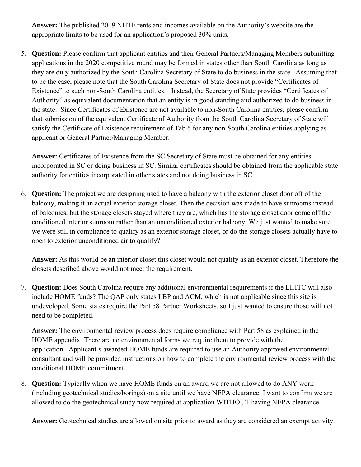**Answer:** The published 2019 NHTF rents and incomes available on the Authority's website are the appropriate limits to be used for an application's proposed 30% units.

5. **Question:** Please confirm that applicant entities and their General Partners/Managing Members submitting applications in the 2020 competitive round may be formed in states other than South Carolina as long as they are duly authorized by the South Carolina Secretary of State to do business in the state. Assuming that to be the case, please note that the South Carolina Secretary of State does not provide "Certificates of Existence" to such non-South Carolina entities. Instead, the Secretary of State provides "Certificates of Authority" as equivalent documentation that an entity is in good standing and authorized to do business in the state. Since Certificates of Existence are not available to non-South Carolina entities, please confirm that submission of the equivalent Certificate of Authority from the South Carolina Secretary of State will satisfy the Certificate of Existence requirement of Tab 6 for any non-South Carolina entities applying as applicant or General Partner/Managing Member.

**Answer:** Certificates of Existence from the SC Secretary of State must be obtained for any entities incorporated in SC or doing business in SC. Similar certificates should be obtained from the applicable state authority for entities incorporated in other states and not doing business in SC.

6. **Question:** The project we are designing used to have a balcony with the exterior closet door off of the balcony, making it an actual exterior storage closet. Then the decision was made to have sunrooms instead of balconies, but the storage closets stayed where they are, which has the storage closet door come off the conditioned interior sunroom rather than an unconditioned exterior balcony. We just wanted to make sure we were still in compliance to qualify as an exterior storage closet, or do the storage closets actually have to open to exterior unconditioned air to qualify?

**Answer:** As this would be an interior closet this closet would not qualify as an exterior closet. Therefore the closets described above would not meet the requirement.

7. **Question:** Does South Carolina require any additional environmental requirements if the LIHTC will also include HOME funds? The QAP only states LBP and ACM, which is not applicable since this site is undeveloped. Some states require the Part 58 Partner Worksheets, so I just wanted to ensure those will not need to be completed.

**Answer:** The environmental review process does require compliance with Part 58 as explained in the HOME appendix. There are no environmental forms we require them to provide with the application. Applicant's awarded HOME funds are required to use an Authority approved environmental consultant and will be provided instructions on how to complete the environmental review process with the conditional HOME commitment.

8. **Question:** Typically when we have HOME funds on an award we are not allowed to do ANY work (including geotechnical studies/borings) on a site until we have NEPA clearance. I want to confirm we are allowed to do the geotechnical study now required at application WITHOUT having NEPA clearance.

**Answer:** Geotechnical studies are allowed on site prior to award as they are considered an exempt activity.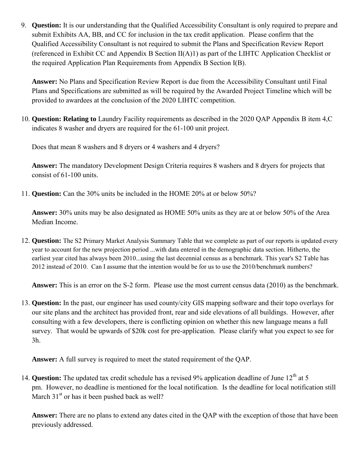9. **Question:** It is our understanding that the Qualified Accessibility Consultant is only required to prepare and submit Exhibits AA, BB, and CC for inclusion in the tax credit application. Please confirm that the Qualified Accessibility Consultant is not required to submit the Plans and Specification Review Report (referenced in Exhibit CC and Appendix B Section II(A)1) as part of the LIHTC Application Checklist or the required Application Plan Requirements from Appendix B Section I(B).

**Answer:** No Plans and Specification Review Report is due from the Accessibility Consultant until Final Plans and Specifications are submitted as will be required by the Awarded Project Timeline which will be provided to awardees at the conclusion of the 2020 LIHTC competition.

10. **Question: Relating to** Laundry Facility requirements as described in the 2020 QAP Appendix B item 4,C indicates 8 washer and dryers are required for the 61-100 unit project.

Does that mean 8 washers and 8 dryers or 4 washers and 4 dryers?

**Answer:** The mandatory Development Design Criteria requires 8 washers and 8 dryers for projects that consist of 61-100 units.

11. **Question:** Can the 30% units be included in the HOME 20% at or below 50%?

**Answer:** 30% units may be also designated as HOME 50% units as they are at or below 50% of the Area Median Income.

12. **Question:** The S2 Primary Market Analysis Summary Table that we complete as part of our reports is updated every year to account for the new projection period ...with data entered in the demographic data section. Hitherto, the earliest year cited has always been 2010...using the last decennial census as a benchmark. This year's S2 Table has 2012 instead of 2010. Can I assume that the intention would be for us to use the 2010/benchmark numbers?

**Answer:** This is an error on the S-2 form. Please use the most current census data (2010) as the benchmark.

13. **Question:** In the past, our engineer has used county/city GIS mapping software and their topo overlays for our site plans and the architect has provided front, rear and side elevations of all buildings. However, after consulting with a few developers, there is conflicting opinion on whether this new language means a full survey. That would be upwards of \$20k cost for pre-application. Please clarify what you expect to see for 3h.

**Answer:** A full survey is required to meet the stated requirement of the QAP.

14. **Question:** The updated tax credit schedule has a revised 9% application deadline of June 12<sup>th</sup> at 5 pm. However, no deadline is mentioned for the local notification. Is the deadline for local notification still March  $31<sup>st</sup>$  or has it been pushed back as well?

**Answer:** There are no plans to extend any dates cited in the QAP with the exception of those that have been previously addressed.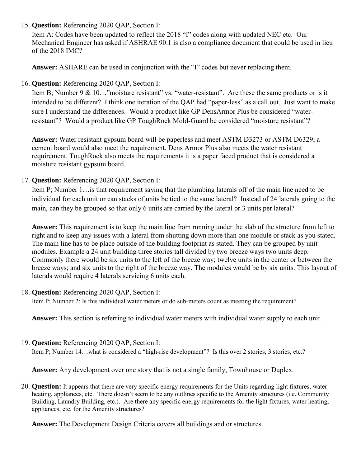#### 15. **Question:** Referencing 2020 QAP, Section I:

Item A: Codes have been updated to reflect the 2018 "I" codes along with updated NEC etc. Our Mechanical Engineer has asked if ASHRAE 90.1 is also a compliance document that could be used in lieu of the 2018 IMC?

**Answer:** ASHARE can be used in conjunction with the "I" codes but never replacing them.

#### 16. **Question:** Referencing 2020 QAP, Section I:

Item B; Number 9 & 10..."moisture resistant" vs. "water-resistant". Are these the same products or is it intended to be different? I think one iteration of the QAP had "paper-less" as a call out. Just want to make sure I understand the differences. Would a product like GP DensArmor Plus be considered "waterresistant"? Would a product like GP ToughRock Mold-Guard be considered "moisture resistant"?

**Answer:** Water resistant gypsum board will be paperless and meet ASTM D3273 or ASTM D6329; a cement board would also meet the requirement. Dens Armor Plus also meets the water resistant requirement. ToughRock also meets the requirements it is a paper faced product that is considered a moisture resistant gypsum board.

#### 17. **Question:** Referencing 2020 QAP, Section I:

Item P; Number 1…is that requirement saying that the plumbing laterals off of the main line need to be individual for each unit or can stacks of units be tied to the same lateral? Instead of 24 laterals going to the main, can they be grouped so that only 6 units are carried by the lateral or 3 units per lateral?

**Answer:** This requirement is to keep the main line from running under the slab of the structure from left to right and to keep any issues with a lateral from shutting down more than one module or stack as you stated. The main line has to be place outside of the building footprint as stated. They can be grouped by unit modules. Example a 24 unit building three stories tall divided by two breeze ways two units deep. Commonly there would be six units to the left of the breeze way; twelve units in the center or between the breeze ways; and six units to the right of the breeze way. The modules would be by six units. This layout of laterals would require 4 laterals servicing 6 units each.

#### 18. **Question:** Referencing 2020 QAP, Section I:

Item P; Number 2: Is this individual water meters or do sub-meters count as meeting the requirement?

**Answer:** This section is referring to individual water meters with individual water supply to each unit.

#### 19. **Question:** Referencing 2020 QAP, Section I:

Item P; Number 14…what is considered a "high-rise development"? Is this over 2 stories, 3 stories, etc.?

**Answer:** Any development over one story that is not a single family, Townhouse or Duplex.

20. **Question:** It appears that there are very specific energy requirements for the Units regarding light fixtures, water heating, appliances, etc. There doesn't seem to be any outlines specific to the Amenity structures (i.e. Community Building, Laundry Building, etc.). Are there any specific energy requirements for the light fixtures, water heating, appliances, etc. for the Amenity structures?

**Answer:** The Development Design Criteria covers all buildings and or structures.